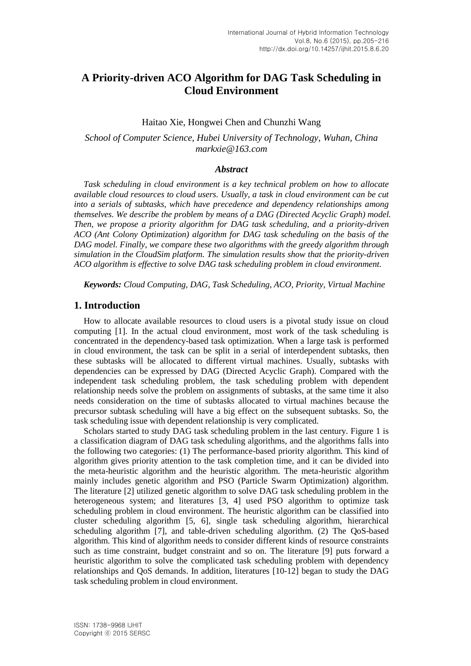# **A Priority-driven ACO Algorithm for DAG Task Scheduling in Cloud Environment**

#### Haitao Xie, Hongwei Chen and Chunzhi Wang

# *School of Computer Science, Hubei University of Technology, Wuhan, China markxie@163.com*

#### *Abstract*

*Task scheduling in cloud environment is a key technical problem on how to allocate available cloud resources to cloud users. Usually, a task in cloud environment can be cut into a serials of subtasks, which have precedence and dependency relationships among themselves. We describe the problem by means of a DAG (Directed Acyclic Graph) model. Then, we propose a priority algorithm for DAG task scheduling, and a priority-driven ACO (Ant Colony Optimization) algorithm for DAG task scheduling on the basis of the DAG model. Finally, we compare these two algorithms with the greedy algorithm through simulation in the CloudSim platform. The simulation results show that the priority-driven ACO algorithm is effective to solve DAG task scheduling problem in cloud environment.*

*Keywords: Cloud Computing, DAG, Task Scheduling, ACO, Priority, Virtual Machine*

#### **1. Introduction**

How to allocate available resources to cloud users is a pivotal study issue on cloud computing [1]. In the actual cloud environment, most work of the task scheduling is concentrated in the dependency-based task optimization. When a large task is performed in cloud environment, the task can be split in a serial of interdependent subtasks, then these subtasks will be allocated to different virtual machines. Usually, subtasks with dependencies can be expressed by DAG (Directed Acyclic Graph). Compared with the independent task scheduling problem, the task scheduling problem with dependent relationship needs solve the problem on assignments of subtasks, at the same time it also needs consideration on the time of subtasks allocated to virtual machines because the precursor subtask scheduling will have a big effect on the subsequent subtasks. So, the task scheduling issue with dependent relationship is very complicated.

Scholars started to study DAG task scheduling problem in the last century. Figure 1 is a classification diagram of DAG task scheduling algorithms, and the algorithms falls into the following two categories: (1) The performance-based priority algorithm. This kind of algorithm gives priority attention to the task completion time, and it can be divided into the meta-heuristic algorithm and the heuristic algorithm. The meta-heuristic algorithm mainly includes genetic algorithm and PSO (Particle Swarm Optimization) algorithm. The literature [2] utilized genetic algorithm to solve DAG task scheduling problem in the heterogeneous system; and literatures [3, 4] used PSO algorithm to optimize task scheduling problem in cloud environment. The heuristic algorithm can be classified into cluster scheduling algorithm [5, 6], single task scheduling algorithm, hierarchical scheduling algorithm [7], and table-driven scheduling algorithm. (2) The QoS-based algorithm. This kind of algorithm needs to consider different kinds of resource constraints such as time constraint, budget constraint and so on. The literature [9] puts forward a heuristic algorithm to solve the complicated task scheduling problem with dependency relationships and QoS demands. In addition, literatures [10-12] began to study the DAG task scheduling problem in cloud environment.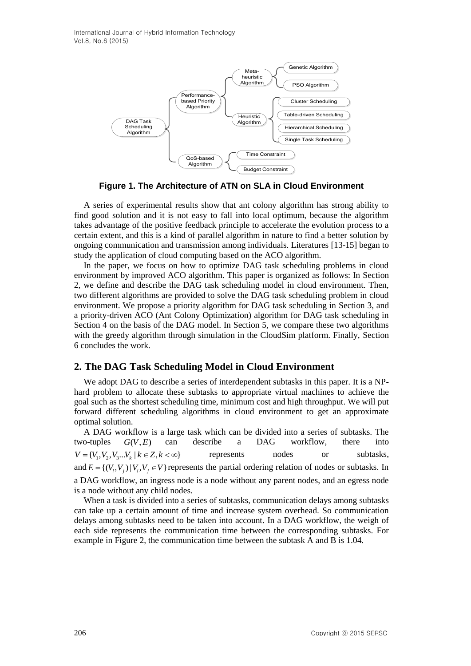

**Figure 1. The Architecture of ATN on SLA in Cloud Environment**

A series of experimental results show that ant colony algorithm has strong ability to find good solution and it is not easy to fall into local optimum, because the algorithm takes advantage of the positive feedback principle to accelerate the evolution process to a certain extent, and this is a kind of parallel algorithm in nature to find a better solution by ongoing communication and transmission among individuals. Literatures [13-15] began to study the application of cloud computing based on the ACO algorithm.

In the paper, we focus on how to optimize DAG task scheduling problems in cloud environment by improved ACO algorithm. This paper is organized as follows: In Section 2, we define and describe the DAG task scheduling model in cloud environment. Then, two different algorithms are provided to solve the DAG task scheduling problem in cloud environment. We propose a priority algorithm for DAG task scheduling in Section 3, and a priority-driven ACO (Ant Colony Optimization) algorithm for DAG task scheduling in Section 4 on the basis of the DAG model. In Section 5, we compare these two algorithms with the greedy algorithm through simulation in the CloudSim platform. Finally, Section 6 concludes the work.

# **2. The DAG Task Scheduling Model in Cloud Environment**

We adopt DAG to describe a series of interdependent subtasks in this paper. It is a NPhard problem to allocate these subtasks to appropriate virtual machines to achieve the goal such as the shortest scheduling time, minimum cost and high throughput. We will put forward different scheduling algorithms in cloud environment to get an approximate optimal solution.

A DAG workflow is a large task which can be divided into a series of subtasks. The two-tuples  $G(V, E)$ can describe a DAG workflow, there into  $V = \{V_1, V_2, V_3, \ldots, V_k \mid k \in \mathbb{Z}, k < \infty\}$ represents nodes or subtasks, and  $E = \{(V_i, V_j) | V_i, V_j \in V\}$  represents the partial ordering relation of nodes or subtasks. In a DAG workflow, an ingress node is a node without any parent nodes, and an egress node is a node without any child nodes.

When a task is divided into a series of subtasks, communication delays among subtasks can take up a certain amount of time and increase system overhead. So communication delays among subtasks need to be taken into account. In a DAG workflow, the weigh of each side represents the communication time between the corresponding subtasks. For example in Figure 2, the communication time between the subtask A and B is 1.04.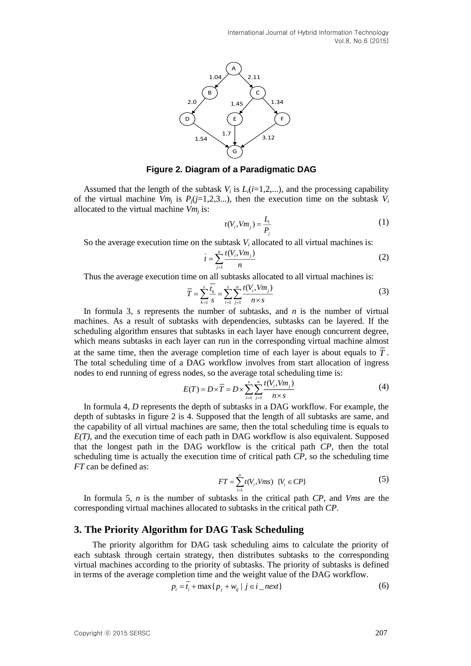

#### **Figure 2. Diagram of a Paradigmatic DAG**

Assumed that the length of the subtask  $V_i$  is  $L_i(i=1,2,...)$ , and the processing capability of the virtual machine  $Vm_j$  is  $P_j(j=1,2,3...)$ , then the execution time on the subtask  $V_i$ allocated to the virtual machine *Vm<sup>j</sup>* is:

$$
t(V_i, Vm_j) = \frac{L_i}{P_j} \tag{1}
$$

So the average execution time on the subtask  $V_i$  allocated to all virtual machines is:

$$
\bar{t} = \sum_{j=1}^{n} \frac{t(V_j, Vm_j)}{n}
$$
 (2)

Thus the average execution time on all subtasks allocated to all virtual machines is:

$$
\overline{T} = \sum_{k=1}^{s} \frac{t_k}{s} = \sum_{i=1}^{s} \sum_{j=1}^{n} \frac{t(V_i, Vm_j)}{n \times s}
$$
(3)

In formula 3, *s* represents the number of subtasks, and *n* is the number of virtual machines. As a result of subtasks with dependencies, subtasks can be layered. If the scheduling algorithm ensures that subtasks in each layer have enough concurrent degree, which means subtasks in each layer can run in the corresponding virtual machine almost at the same time, then the average completion time of each layer is about equals to *<sup>T</sup>* . The total scheduling time of a DAG workflow involves from start allocation of ingress nodes to end running of egress nodes, so the average total scheduling time is:

$$
E(T) = D \times \overline{T} = D \times \sum_{i=1}^{s} \sum_{j=1}^{n} \frac{t(V_i, Vm_j)}{n \times s}
$$
(4)

In formula 4, *D* represents the depth of subtasks in a DAG workflow. For example, the depth of subtasks in figure 2 is 4. Supposed that the length of all subtasks are same, and the capability of all virtual machines are same, then the total scheduling time is equals to *E(T)*, and the execution time of each path in DAG workflow is also equivalent. Supposed that the longest path in the DAG workflow is the critical path *CP*, then the total scheduling time is actually the execution time of critical path *CP*, so the scheduling time *FT* can be defined as:

$$
FT = \sum_{i=1}^{n} t(V_i, Vms) \ \{V_i \in CP\}
$$
 (5)

In formula 5, *n* is the number of subtasks in the critical path *CP*, and *Vms* are the corresponding virtual machines allocated to subtasks in the critical path *CP*.

#### **3. The Priority Algorithm for DAG Task Scheduling**

 The priority algorithm for DAG task scheduling aims to calculate the priority of each subtask through certain strategy, then distributes subtasks to the corresponding virtual machines according to the priority of subtasks. The priority of subtasks is defined in terms of the average completion time and the weight value of the DAG workflow.

$$
p_i = \overline{t_i} + \max\{p_j + w_{ij} \mid j \in i\_next\}
$$
 (6)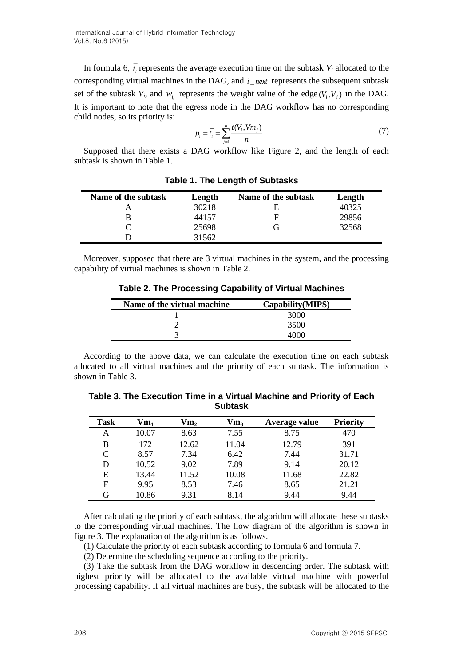In formula 6,  $t_i$  represents the average execution time on the subtask  $V_i$  allocated to the corresponding virtual machines in the DAG, and  $i$ <sub>next</sub> represents the subsequent subtask set of the subtask  $V_i$ , and  $W_{ij}$  represents the weight value of the edge  $(V_i, V_j)$  in the DAG. It is important to note that the egress node in the DAG workflow has no corresponding child nodes, so its priority is:

$$
p_i = \overline{t_i} = \sum_{j=1}^n \frac{t(V_i, Vm_j)}{n}
$$
 (7)

Supposed that there exists a DAG workflow like Figure 2, and the length of each subtask is shown in Table 1.

| Name of the subtask | Length | Name of the subtask | Length |
|---------------------|--------|---------------------|--------|
|                     | 30218  | F                   | 40325  |
|                     | 44157  | F                   | 29856  |
|                     | 25698  |                     | 32568  |
|                     | 31562  |                     |        |

**Table 1. The Length of Subtasks**

Moreover, supposed that there are 3 virtual machines in the system, and the processing capability of virtual machines is shown in Table 2.

**Table 2. The Processing Capability of Virtual Machines**

| Capability (MIPS) |
|-------------------|
| 3000              |
| 3500              |
| 4000              |
|                   |

According to the above data, we can calculate the execution time on each subtask allocated to all virtual machines and the priority of each subtask. The information is shown in Table 3.

**Table 3. The Execution Time in a Virtual Machine and Priority of Each Subtask**

| <b>Task</b> | $\mathbf{V}\mathbf{m}_1$ | $\mathbf{V}\mathbf{m}_2$ | $Vm_3$ | Average value | <b>Priority</b> |
|-------------|--------------------------|--------------------------|--------|---------------|-----------------|
| А           | 10.07                    | 8.63                     | 7.55   | 8.75          | 470             |
| В           | 172                      | 12.62                    | 11.04  | 12.79         | 391             |
| C           | 8.57                     | 7.34                     | 6.42   | 7.44          | 31.71           |
| D           | 10.52                    | 9.02                     | 7.89   | 9.14          | 20.12           |
| E           | 13.44                    | 11.52                    | 10.08  | 11.68         | 22.82           |
| $\mathbf F$ | 9.95                     | 8.53                     | 7.46   | 8.65          | 21.21           |
| G           | 10.86                    | 9.31                     | 8.14   | 9.44          | 9.44            |

After calculating the priority of each subtask, the algorithm will allocate these subtasks to the corresponding virtual machines. The flow diagram of the algorithm is shown in figure 3. The explanation of the algorithm is as follows.

(1) Calculate the priority of each subtask according to formula 6 and formula 7.

(2) Determine the scheduling sequence according to the priority.

(3) Take the subtask from the DAG workflow in descending order. The subtask with highest priority will be allocated to the available virtual machine with powerful processing capability. If all virtual machines are busy, the subtask will be allocated to the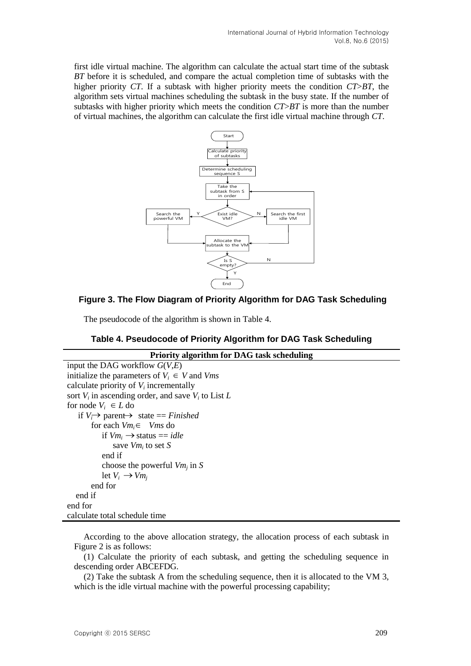first idle virtual machine. The algorithm can calculate the actual start time of the subtask *BT* before it is scheduled, and compare the actual completion time of subtasks with the higher priority *CT*. If a subtask with higher priority meets the condition *CT*>*BT*, the algorithm sets virtual machines scheduling the subtask in the busy state. If the number of subtasks with higher priority which meets the condition *CT*>*BT* is more than the number of virtual machines, the algorithm can calculate the first idle virtual machine through *CT*.



# **Figure 3. The Flow Diagram of Priority Algorithm for DAG Task Scheduling**

The pseudocode of the algorithm is shown in Table 4.

# **Table 4. Pseudocode of Priority Algorithm for DAG Task Scheduling**

```
Priority algorithm for DAG task scheduling
input the DAG workflow G(V,E)
initialize the parameters of V_i \in V and Vms
calculate priority of V_i incrementally
sort V_i in ascending order, and save V_i to List Lfor node V_i \in L do
if V_i \rightarrow parent \rightarrow state == Finished
  for each Vmi 
 Vms do

     if Vm_i \rightarrow status == idle
      save Vmi
to set S
           end if
      choose the powerful Vmj
in S
      let V_i \rightarrow Vm_jend for
   end if
end for
calculate total schedule time
```
According to the above allocation strategy, the allocation process of each subtask in Figure 2 is as follows:

(1) Calculate the priority of each subtask, and getting the scheduling sequence in descending order ABCEFDG.

(2) Take the subtask A from the scheduling sequence, then it is allocated to the VM 3, which is the idle virtual machine with the powerful processing capability;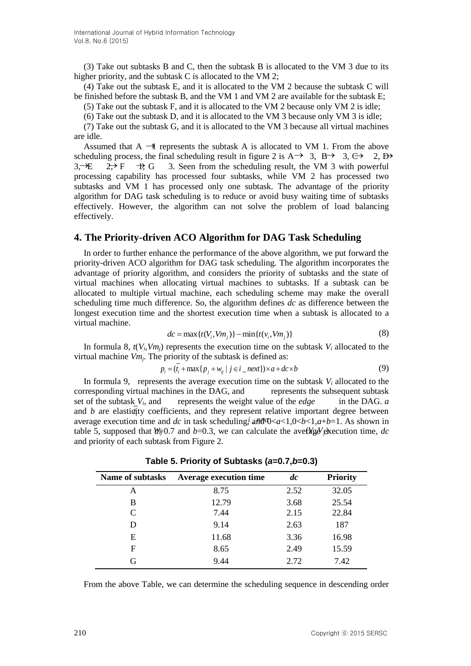(3) Take out subtasks B and C, then the subtask B is allocated to the VM 3 due to its higher priority, and the subtask C is allocated to the VM 2;

(4) Take out the subtask E, and it is allocated to the VM 2 because the subtask C will be finished before the subtask B, and the VM 1 and VM 2 are available for the subtask E;

(5) Take out the subtask F, and it is allocated to the VM 2 because only VM 2 is idle;

(6) Take out the subtask D, and it is allocated to the VM 3 because only VM 3 is idle;

(7) Take out the subtask G, and it is allocated to the VM 3 because all virtual machines are idle.

Assumed that  $A \rightarrow I$  represents the subtask A is allocated to VM 1. From the above scheduling process, the final scheduling result in figure 2 is  $A \rightarrow 3$ ,  $B \rightarrow 3$ ,  $C \rightarrow 2$ ,  $B \rightarrow 3$  $3, \pm 2, \pm 7$   $\rightarrow$  F  $\rightarrow$  G  $\rightarrow$  3. Seen from the scheduling result, the VM 3 with powerful processing capability has processed four subtasks, while VM 2 has processed two subtasks and VM 1 has processed only one subtask. The advantage of the priority algorithm for DAG task scheduling is to reduce or avoid busy waiting time of subtasks effectively. However, the algorithm can not solve the problem of load balancing effectively.  $2 \rightarrow F$ 

# **4. The Priority-driven ACO Algorithm for DAG Task Scheduling**

In order to further enhance the performance of the above algorithm, we put forward the priority-driven ACO algorithm for DAG task scheduling. The algorithm incorporates the advantage of priority algorithm, and considers the priority of subtasks and the state of virtual machines when allocating virtual machines to subtasks. If a subtask can be allocated to multiple virtual machine, each scheduling scheme may make the overall scheduling time much difference. So, the algorithm defines *dc* as difference between the longest execution time and the shortest execution time when a subtask is allocated to a virtual machine.

$$
dc = \max\{t(V_i, Vm_j)\} - \min\{t(v_i, Vm_j)\}\tag{8}
$$

In formula 8,  $t(V_i, V_m)$  represents the execution time on the subtask  $V_i$  allocated to the virtual machine *Vm<sup>j</sup>* . The priority of the subtask is defined as:

$$
p_i = (\overline{t_i} + \max\{p_j + w_{ij} \mid j \in i\_next\}) \times a + dc \times b \tag{9}
$$

In formula 9, represents the average execution time on the subtask  $V_i$  allocated to the corresponding virtual machines in the DAG, and represents the subsequent subtask set of the subtask *V<sup>i</sup>* represents the weight value of the *edge* in the DAG. *a* and  $b$  are elasticity coefficients, and they represent relative important degree between average execution time and *dc* in task scheduling, and  $d\alpha = 1.0 < b < 1.4$ , and  $d\alpha = 1.0 < b < 1.4$ . As shown in average execution time and *dc* in task scheduling, an  $dV < a < 1, 0 < b < 1, a + b = 1$ . As shown in table 5, supposed that  $\mathcal{W}_{\overline{v}}(0.7)$  and  $b = 0.3$ , we can calculate the average execution time, *dc* and priority of each subtask from Figure 2.

| <b>Name of subtasks</b> | <b>Average execution time</b> | $\boldsymbol{d}$ c | <b>Priority</b> |
|-------------------------|-------------------------------|--------------------|-----------------|
| A                       | 8.75                          | 2.52               | 32.05           |
| B                       | 12.79                         | 3.68               | 25.54           |
| C                       | 7.44                          | 2.15               | 22.84           |
| D                       | 9.14                          | 2.63               | 187             |
| Е                       | 11.68                         | 3.36               | 16.98           |
| F                       | 8.65                          | 2.49               | 15.59           |
| G                       | 9.44                          | 2.72               | 7.42            |

**Table 5. Priority of Subtasks (***a***=0.7,***b***=0.3)**

From the above Table, we can determine the scheduling sequence in descending order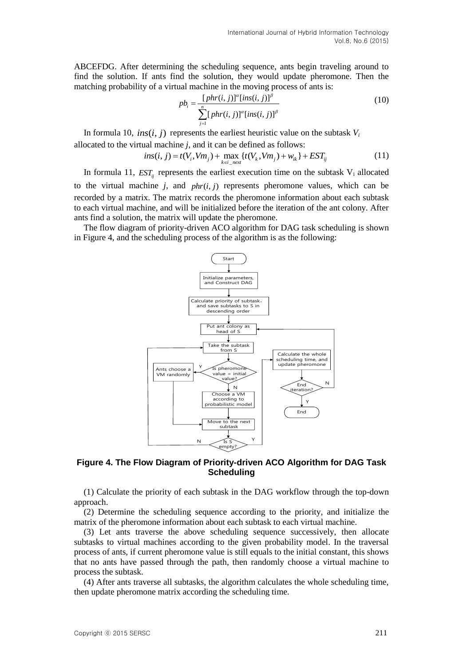ABCEFDG. After determining the scheduling sequence, ants begin traveling around to find the solution. If ants find the solution, they would update pheromone. Then the matching probability of a virtual machine in the moving process of ants is:

$$
pb_i = \frac{[phr(i, j)]^{\alpha} [ins(i, j)]^{\beta}}{\sum_{j=1}^{n} [phr(i, j)]^{\alpha} [ins(i, j)]^{\beta}}
$$
(10)

In formula 10,  $ins(i, j)$  represents the earliest heuristic value on the subtask  $V_i$ allocated to the virtual machine *j*, and it can be defined as follows:

$$
ins(i, j) = t(V_i, Vm_j) + \max_{k \in i\_next} \{ t(V_k, Vm_j) + w_{ik} \} + EST_{ij}
$$
 (11)

In formula 11,  $EST_{ij}$  represents the earliest execution time on the subtask  $V_i$  allocated to the virtual machine  $j$ , and  $phr(i, j)$  represents pheromone values, which can be recorded by a matrix. The matrix records the pheromone information about each subtask to each virtual machine, and will be initialized before the iteration of the ant colony. After ants find a solution, the matrix will update the pheromone.

The flow diagram of priority-driven ACO algorithm for DAG task scheduling is shown in Figure 4, and the scheduling process of the algorithm is as the following:



### **Figure 4. The Flow Diagram of Priority-driven ACO Algorithm for DAG Task Scheduling**

(1) Calculate the priority of each subtask in the DAG workflow through the top-down approach.

(2) Determine the scheduling sequence according to the priority, and initialize the matrix of the pheromone information about each subtask to each virtual machine.

(3) Let ants traverse the above scheduling sequence successively, then allocate subtasks to virtual machines according to the given probability model. In the traversal process of ants, if current pheromone value is still equals to the initial constant, this shows that no ants have passed through the path, then randomly choose a virtual machine to process the subtask.

(4) After ants traverse all subtasks, the algorithm calculates the whole scheduling time, then update pheromone matrix according the scheduling time.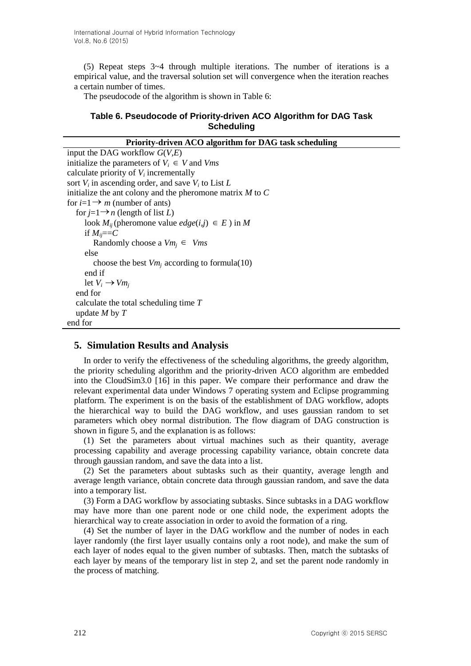(5) Repeat steps 3~4 through multiple iterations. The number of iterations is a empirical value, and the traversal solution set will convergence when the iteration reaches a certain number of times.

The pseudocode of the algorithm is shown in Table 6:

# **Table 6. Pseudocode of Priority-driven ACO Algorithm for DAG Task Scheduling**

| Priority-driven ACO algorithm for DAG task scheduling         |  |  |  |
|---------------------------------------------------------------|--|--|--|
| input the DAG workflow $G(V,E)$                               |  |  |  |
| initialize the parameters of $V_i \in V$ and Vms              |  |  |  |
| calculate priority of $V_i$ incrementally                     |  |  |  |
| sort $V_i$ in ascending order, and save $V_i$ to List L       |  |  |  |
| initialize the ant colony and the pheromone matrix $M$ to $C$ |  |  |  |
| for $i=1 \rightarrow m$ (number of ants)                      |  |  |  |
| for $j=1 \rightarrow n$ (length of list L)                    |  |  |  |
| look $M_{ii}$ (pheromone value $edge(i,j) \in E$ ) in M       |  |  |  |
| if $M_{ii} == C$                                              |  |  |  |
| Randomly choose a $Vm_i \in Vms$                              |  |  |  |
| else                                                          |  |  |  |
| choose the best $Vm_i$ according to formula(10)               |  |  |  |
| end if                                                        |  |  |  |
| let $V_i \rightarrow V m_i$                                   |  |  |  |
| end for                                                       |  |  |  |
| calculate the total scheduling time $T$                       |  |  |  |
| update $M$ by $T$                                             |  |  |  |
| end for                                                       |  |  |  |

# **5. Simulation Results and Analysis**

In order to verify the effectiveness of the scheduling algorithms, the greedy algorithm, the priority scheduling algorithm and the priority-driven ACO algorithm are embedded into the CloudSim3.0 [16] in this paper. We compare their performance and draw the relevant experimental data under Windows 7 operating system and Eclipse programming platform. The experiment is on the basis of the establishment of DAG workflow, adopts the hierarchical way to build the DAG workflow, and uses gaussian random to set parameters which obey normal distribution. The flow diagram of DAG construction is shown in figure 5, and the explanation is as follows:

(1) Set the parameters about virtual machines such as their quantity, average processing capability and average processing capability variance, obtain concrete data through gaussian random, and save the data into a list.

(2) Set the parameters about subtasks such as their quantity, average length and average length variance, obtain concrete data through gaussian random, and save the data into a temporary list.

(3) Form a DAG workflow by associating subtasks. Since subtasks in a DAG workflow may have more than one parent node or one child node, the experiment adopts the hierarchical way to create association in order to avoid the formation of a ring.

(4) Set the number of layer in the DAG workflow and the number of nodes in each layer randomly (the first layer usually contains only a root node), and make the sum of each layer of nodes equal to the given number of subtasks. Then, match the subtasks of each layer by means of the temporary list in step 2, and set the parent node randomly in the process of matching.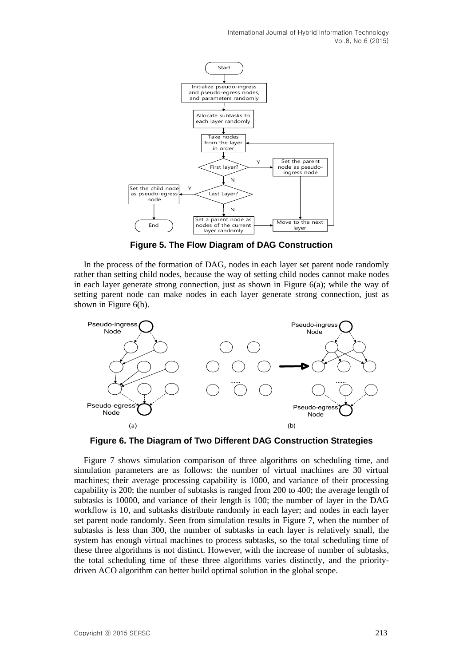

**Figure 5. The Flow Diagram of DAG Construction**

In the process of the formation of DAG, nodes in each layer set parent node randomly rather than setting child nodes, because the way of setting child nodes cannot make nodes in each layer generate strong connection, just as shown in Figure 6(a); while the way of setting parent node can make nodes in each layer generate strong connection, just as shown in Figure 6(b).



**Figure 6. The Diagram of Two Different DAG Construction Strategies**

Figure 7 shows simulation comparison of three algorithms on scheduling time, and simulation parameters are as follows: the number of virtual machines are 30 virtual machines; their average processing capability is 1000, and variance of their processing capability is 200; the number of subtasks is ranged from 200 to 400; the average length of subtasks is 10000, and variance of their length is 100; the number of layer in the DAG workflow is 10, and subtasks distribute randomly in each layer; and nodes in each layer set parent node randomly. Seen from simulation results in Figure 7, when the number of subtasks is less than 300, the number of subtasks in each layer is relatively small, the system has enough virtual machines to process subtasks, so the total scheduling time of these three algorithms is not distinct. However, with the increase of number of subtasks, the total scheduling time of these three algorithms varies distinctly, and the prioritydriven ACO algorithm can better build optimal solution in the global scope.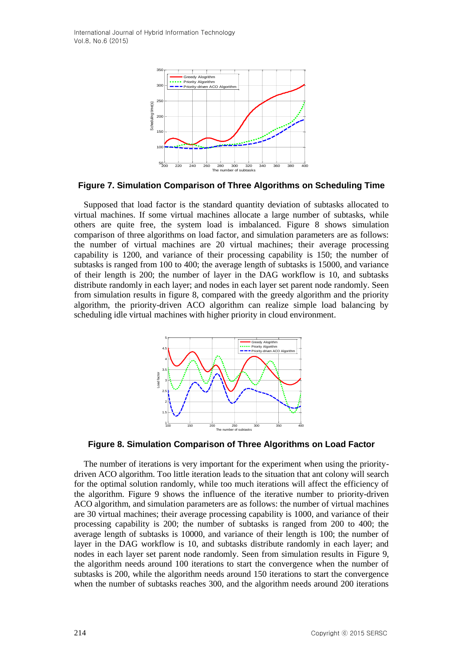

**Figure 7. Simulation Comparison of Three Algorithms on Scheduling Time**

Supposed that load factor is the standard quantity deviation of subtasks allocated to virtual machines. If some virtual machines allocate a large number of subtasks, while others are quite free, the system load is imbalanced. Figure 8 shows simulation comparison of three algorithms on load factor, and simulation parameters are as follows: the number of virtual machines are 20 virtual machines; their average processing capability is 1200, and variance of their processing capability is 150; the number of subtasks is ranged from 100 to 400; the average length of subtasks is 15000, and variance of their length is 200; the number of layer in the DAG workflow is 10, and subtasks distribute randomly in each layer; and nodes in each layer set parent node randomly. Seen from simulation results in figure 8, compared with the greedy algorithm and the priority algorithm, the priority-driven ACO algorithm can realize simple load balancing by scheduling idle virtual machines with higher priority in cloud environment.



**Figure 8. Simulation Comparison of Three Algorithms on Load Factor**

The number of iterations is very important for the experiment when using the prioritydriven ACO algorithm. Too little iteration leads to the situation that ant colony will search for the optimal solution randomly, while too much iterations will affect the efficiency of the algorithm. Figure 9 shows the influence of the iterative number to priority-driven ACO algorithm, and simulation parameters are as follows: the number of virtual machines are 30 virtual machines; their average processing capability is 1000, and variance of their processing capability is 200; the number of subtasks is ranged from 200 to 400; the average length of subtasks is 10000, and variance of their length is 100; the number of layer in the DAG workflow is 10, and subtasks distribute randomly in each layer; and nodes in each layer set parent node randomly. Seen from simulation results in Figure 9, the algorithm needs around 100 iterations to start the convergence when the number of subtasks is 200, while the algorithm needs around 150 iterations to start the convergence when the number of subtasks reaches 300, and the algorithm needs around 200 iterations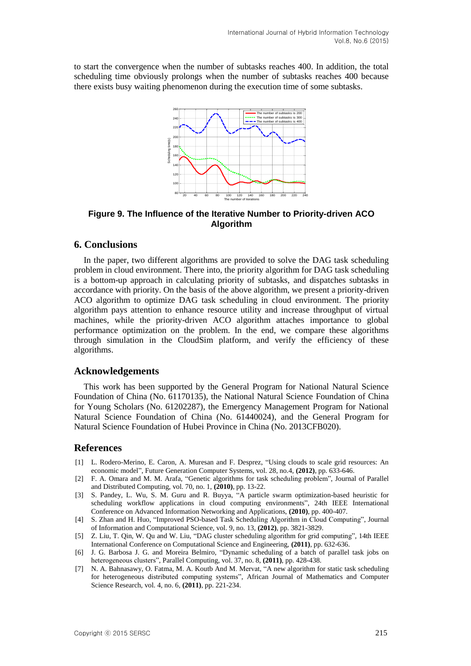to start the convergence when the number of subtasks reaches 400. In addition, the total scheduling time obviously prolongs when the number of subtasks reaches 400 because there exists busy waiting phenomenon during the execution time of some subtasks.



**Figure 9. The Influence of the Iterative Number to Priority-driven ACO Algorithm**

# **6. Conclusions**

In the paper, two different algorithms are provided to solve the DAG task scheduling problem in cloud environment. There into, the priority algorithm for DAG task scheduling is a bottom-up approach in calculating priority of subtasks, and dispatches subtasks in accordance with priority. On the basis of the above algorithm, we present a priority-driven ACO algorithm to optimize DAG task scheduling in cloud environment. The priority algorithm pays attention to enhance resource utility and increase throughput of virtual machines, while the priority-driven ACO algorithm attaches importance to global performance optimization on the problem. In the end, we compare these algorithms through simulation in the CloudSim platform, and verify the efficiency of these algorithms.

### **Acknowledgements**

This work has been supported by the General Program for National Natural Science Foundation of China (No. 61170135), the National Natural Science Foundation of China for Young Scholars (No. 61202287), the Emergency Management Program for National Natural Science Foundation of China (No. 61440024), and the General Program for Natural Science Foundation of Hubei Province in China (No. 2013CFB020).

### **References**

- [1] L. Rodero-Merino, E. Caron, A. Muresan and F. Desprez, "Using clouds to scale grid resources: An economic model", Future Generation Computer Systems, vol. 28, no.4, **(2012)**, pp. 633-646.
- [2] F. A. Omara and M. M. Arafa, "Genetic algorithms for task scheduling problem", Journal of Parallel and Distributed Computing, vol. 70, no. 1, **(2010)**, pp. 13-22.
- [3] S. Pandey, L. Wu, S. M. Guru and R. Buyya, "A particle swarm optimization-based heuristic for scheduling workflow applications in cloud computing environments", 24th IEEE International Conference on Advanced Information Networking and Applications, **(2010)**, pp. 400-407.
- [4] S. Zhan and H. Huo, "Improved PSO-based Task Scheduling Algorithm in Cloud Computing", Journal of Information and Computational Science, vol. 9, no. 13, **(2012)**, pp. 3821-3829.
- [5] Z. Liu, T. Qin, W. Qu and W. Liu, "DAG cluster scheduling algorithm for grid computing", 14th IEEE International Conference on Computational Science and Engineering, **(2011)**, pp. 632-636.
- [6] J. G. Barbosa J. G. and Moreira Belmiro, "Dynamic scheduling of a batch of parallel task jobs on heterogeneous clusters", Parallel Computing, vol. 37, no. 8, **(2011)**, pp. 428-438.
- [7] N. A. Bahnasawy, O. Fatma, M. A. Koutb And M. Mervat, "A new algorithm for static task scheduling for heterogeneous distributed computing systems", African Journal of Mathematics and Computer Science Research, vol. 4, no. 6, **(2011)**, pp. 221-234.